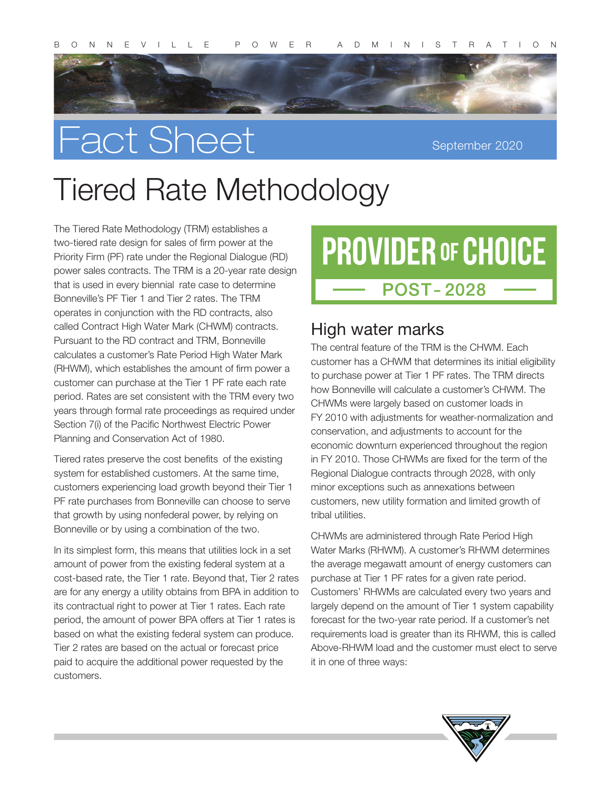

# Fact Sheet

September 2020

## Tiered Rate Methodology

The Tiered Rate Methodology (TRM) establishes a two-tiered rate design for sales of firm power at the Priority Firm (PF) rate under the Regional Dialogue (RD) power sales contracts. The TRM is a 20-year rate design that is used in every biennial rate case to determine Bonneville's PF Tier 1 and Tier 2 rates. The TRM operates in conjunction with the RD contracts, also called Contract High Water Mark (CHWM) contracts. Pursuant to the RD contract and TRM, Bonneville calculates a customer's Rate Period High Water Mark (RHWM), which establishes the amount of firm power a customer can purchase at the Tier 1 PF rate each rate period. Rates are set consistent with the TRM every two years through formal rate proceedings as required under Section 7(i) of the Pacific Northwest Electric Power Planning and Conservation Act of 1980.

Tiered rates preserve the cost benefits of the existing system for established customers. At the same time, customers experiencing load growth beyond their Tier 1 PF rate purchases from Bonneville can choose to serve that growth by using nonfederal power, by relying on Bonneville or by using a combination of the two.

In its simplest form, this means that utilities lock in a set amount of power from the existing federal system at a cost-based rate, the Tier 1 rate. Beyond that, Tier 2 rates are for any energy a utility obtains from BPA in addition to its contractual right to power at Tier 1 rates. Each rate period, the amount of power BPA offers at Tier 1 rates is based on what the existing federal system can produce. Tier 2 rates are based on the actual or forecast price paid to acquire the additional power requested by the customers.

## **PROVIDER OF CHOICE POST-2028**

### High water marks

The central feature of the TRM is the CHWM. Each customer has a CHWM that determines its initial eligibility to purchase power at Tier 1 PF rates. The TRM directs how Bonneville will calculate a customer's CHWM. The CHWMs were largely based on customer loads in FY 2010 with adjustments for weather-normalization and conservation, and adjustments to account for the economic downturn experienced throughout the region in FY 2010. Those CHWMs are fixed for the term of the Regional Dialogue contracts through 2028, with only minor exceptions such as annexations between customers, new utility formation and limited growth of tribal utilities.

CHWMs are administered through Rate Period High Water Marks (RHWM). A customer's RHWM determines the average megawatt amount of energy customers can purchase at Tier 1 PF rates for a given rate period. Customers' RHWMs are calculated every two years and largely depend on the amount of Tier 1 system capability forecast for the two-year rate period. If a customer's net requirements load is greater than its RHWM, this is called Above-RHWM load and the customer must elect to serve it in one of three ways: